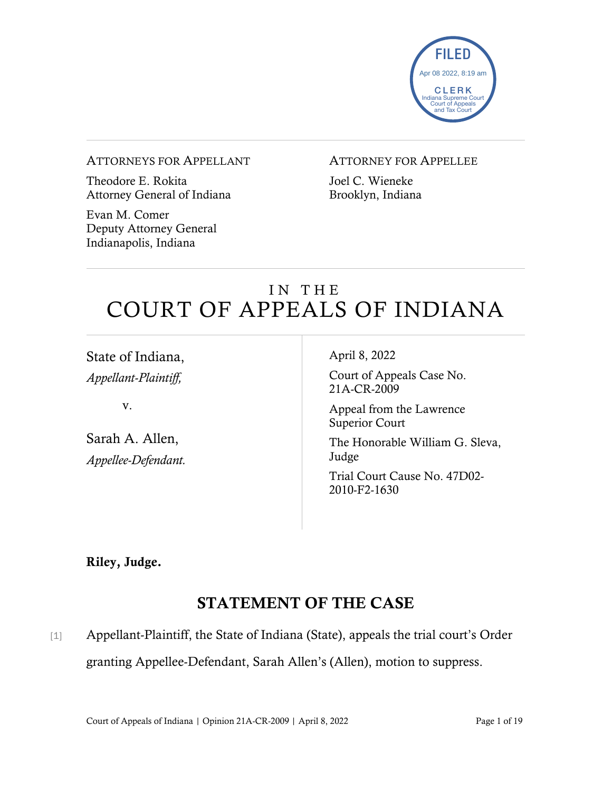

#### ATTORNEYS FOR APPELLANT

Theodore E. Rokita Attorney General of Indiana

Evan M. Comer Deputy Attorney General Indianapolis, Indiana

### ATTORNEY FOR APPELLEE

Joel C. Wieneke Brooklyn, Indiana

# IN THE COURT OF APPEALS OF INDIANA

State of Indiana, *Appellant-Plaintiff,*

v.

Sarah A. Allen, *Appellee-Defendant.* April 8, 2022

Court of Appeals Case No. 21A-CR-2009

Appeal from the Lawrence Superior Court

The Honorable William G. Sleva, Judge

Trial Court Cause No. 47D02- 2010-F2-1630

Riley, Judge.

## STATEMENT OF THE CASE

[1] Appellant-Plaintiff, the State of Indiana (State), appeals the trial court's Order granting Appellee-Defendant, Sarah Allen's (Allen), motion to suppress.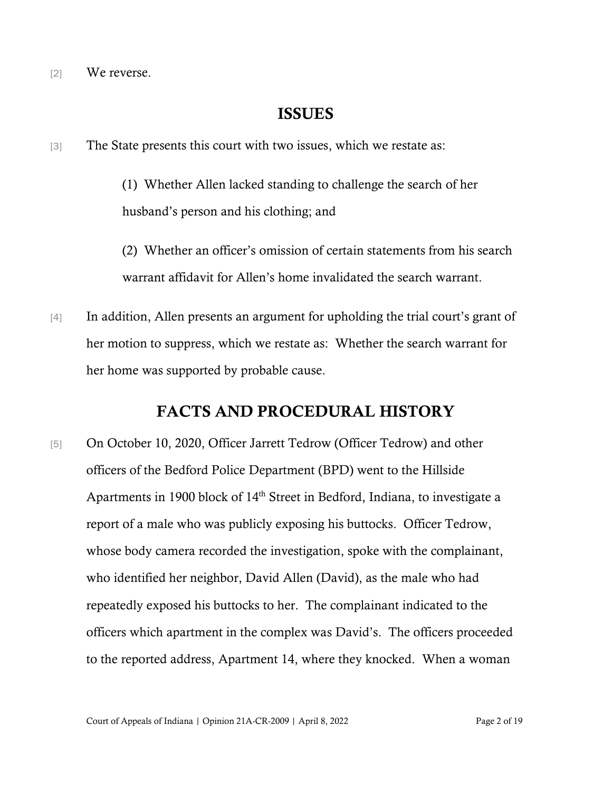[2] We reverse.

### ISSUES

[3] The State presents this court with two issues, which we restate as:

(1) Whether Allen lacked standing to challenge the search of her husband's person and his clothing; and

(2) Whether an officer's omission of certain statements from his search warrant affidavit for Allen's home invalidated the search warrant.

[4] In addition, Allen presents an argument for upholding the trial court's grant of her motion to suppress, which we restate as: Whether the search warrant for her home was supported by probable cause.

### FACTS AND PROCEDURAL HISTORY

[5] On October 10, 2020, Officer Jarrett Tedrow (Officer Tedrow) and other officers of the Bedford Police Department (BPD) went to the Hillside Apartments in 1900 block of 14<sup>th</sup> Street in Bedford, Indiana, to investigate a report of a male who was publicly exposing his buttocks. Officer Tedrow, whose body camera recorded the investigation, spoke with the complainant, who identified her neighbor, David Allen (David), as the male who had repeatedly exposed his buttocks to her. The complainant indicated to the officers which apartment in the complex was David's. The officers proceeded to the reported address, Apartment 14, where they knocked. When a woman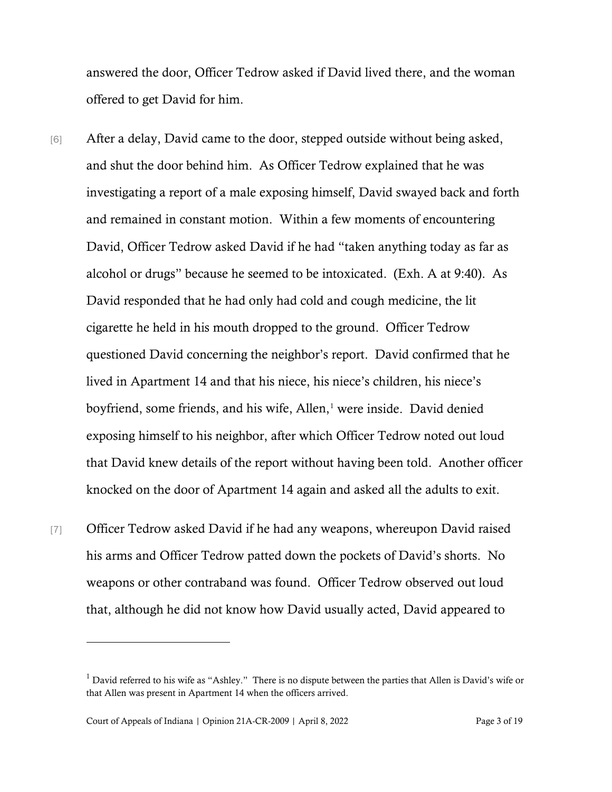answered the door, Officer Tedrow asked if David lived there, and the woman offered to get David for him.

- [6] After a delay, David came to the door, stepped outside without being asked, and shut the door behind him. As Officer Tedrow explained that he was investigating a report of a male exposing himself, David swayed back and forth and remained in constant motion. Within a few moments of encountering David, Officer Tedrow asked David if he had "taken anything today as far as alcohol or drugs" because he seemed to be intoxicated. (Exh. A at 9:40). As David responded that he had only had cold and cough medicine, the lit cigarette he held in his mouth dropped to the ground. Officer Tedrow questioned David concerning the neighbor's report. David confirmed that he lived in Apartment 14 and that his niece, his niece's children, his niece's boyfriend, some friends, and his wife, Allen, [1](#page-2-0) were inside. David denied exposing himself to his neighbor, after which Officer Tedrow noted out loud that David knew details of the report without having been told. Another officer knocked on the door of Apartment 14 again and asked all the adults to exit.
- [7] Officer Tedrow asked David if he had any weapons, whereupon David raised his arms and Officer Tedrow patted down the pockets of David's shorts. No weapons or other contraband was found. Officer Tedrow observed out loud that, although he did not know how David usually acted, David appeared to

<span id="page-2-0"></span> $1$  David referred to his wife as "Ashley." There is no dispute between the parties that Allen is David's wife or that Allen was present in Apartment 14 when the officers arrived.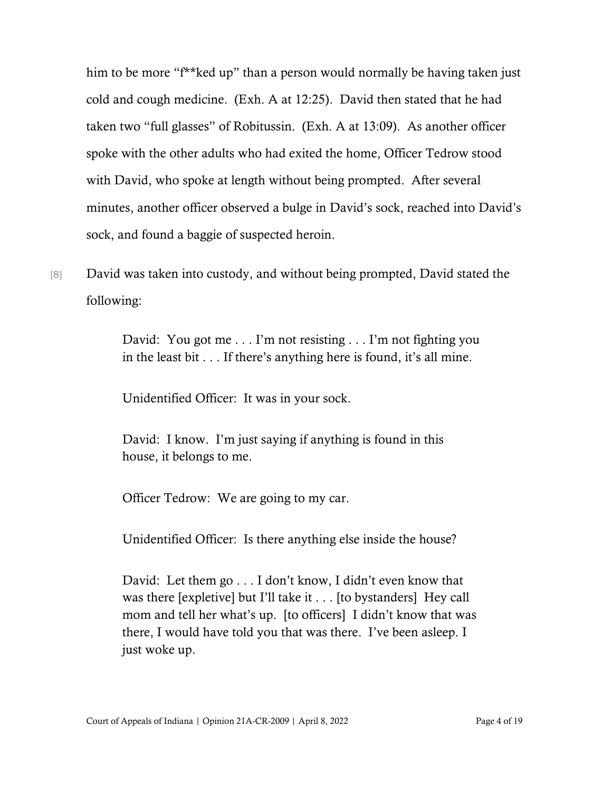him to be more "f<sup>\*\*</sup>ked up" than a person would normally be having taken just cold and cough medicine. (Exh. A at 12:25). David then stated that he had taken two "full glasses" of Robitussin. (Exh. A at 13:09). As another officer spoke with the other adults who had exited the home, Officer Tedrow stood with David, who spoke at length without being prompted. After several minutes, another officer observed a bulge in David's sock, reached into David's sock, and found a baggie of suspected heroin.

[8] David was taken into custody, and without being prompted, David stated the following:

> David: You got me . . . I'm not resisting . . . I'm not fighting you in the least bit . . . If there's anything here is found, it's all mine.

Unidentified Officer: It was in your sock.

David: I know. I'm just saying if anything is found in this house, it belongs to me.

Officer Tedrow: We are going to my car.

Unidentified Officer: Is there anything else inside the house?

David: Let them go . . . I don't know, I didn't even know that was there [expletive] but I'll take it . . . [to bystanders] Hey call mom and tell her what's up. [to officers] I didn't know that was there, I would have told you that was there. I've been asleep. I just woke up.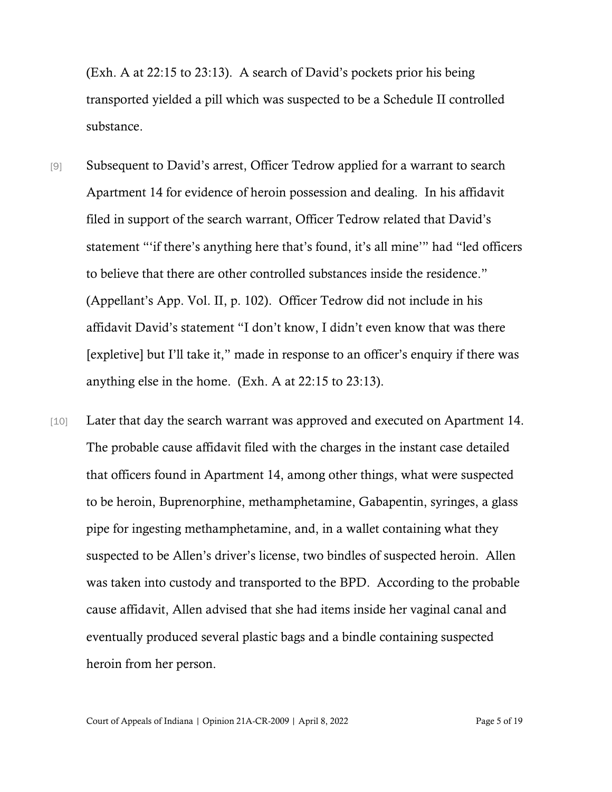(Exh. A at 22:15 to 23:13). A search of David's pockets prior his being transported yielded a pill which was suspected to be a Schedule II controlled substance.

- [9] Subsequent to David's arrest, Officer Tedrow applied for a warrant to search Apartment 14 for evidence of heroin possession and dealing. In his affidavit filed in support of the search warrant, Officer Tedrow related that David's statement "'if there's anything here that's found, it's all mine'" had "led officers to believe that there are other controlled substances inside the residence." (Appellant's App. Vol. II, p. 102). Officer Tedrow did not include in his affidavit David's statement "I don't know, I didn't even know that was there [expletive] but I'll take it," made in response to an officer's enquiry if there was anything else in the home. (Exh. A at 22:15 to 23:13).
- [10] Later that day the search warrant was approved and executed on Apartment 14. The probable cause affidavit filed with the charges in the instant case detailed that officers found in Apartment 14, among other things, what were suspected to be heroin, Buprenorphine, methamphetamine, Gabapentin, syringes, a glass pipe for ingesting methamphetamine, and, in a wallet containing what they suspected to be Allen's driver's license, two bindles of suspected heroin. Allen was taken into custody and transported to the BPD. According to the probable cause affidavit, Allen advised that she had items inside her vaginal canal and eventually produced several plastic bags and a bindle containing suspected heroin from her person.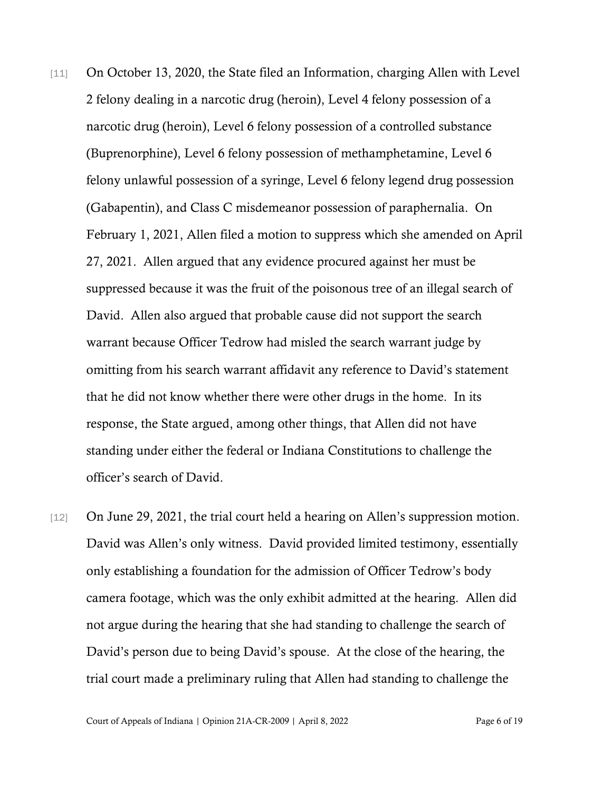- [11] On October 13, 2020, the State filed an Information, charging Allen with Level 2 felony dealing in a narcotic drug (heroin), Level 4 felony possession of a narcotic drug (heroin), Level 6 felony possession of a controlled substance (Buprenorphine), Level 6 felony possession of methamphetamine, Level 6 felony unlawful possession of a syringe, Level 6 felony legend drug possession (Gabapentin), and Class C misdemeanor possession of paraphernalia. On February 1, 2021, Allen filed a motion to suppress which she amended on April 27, 2021. Allen argued that any evidence procured against her must be suppressed because it was the fruit of the poisonous tree of an illegal search of David. Allen also argued that probable cause did not support the search warrant because Officer Tedrow had misled the search warrant judge by omitting from his search warrant affidavit any reference to David's statement that he did not know whether there were other drugs in the home. In its response, the State argued, among other things, that Allen did not have standing under either the federal or Indiana Constitutions to challenge the officer's search of David.
- [12] On June 29, 2021, the trial court held a hearing on Allen's suppression motion. David was Allen's only witness. David provided limited testimony, essentially only establishing a foundation for the admission of Officer Tedrow's body camera footage, which was the only exhibit admitted at the hearing. Allen did not argue during the hearing that she had standing to challenge the search of David's person due to being David's spouse. At the close of the hearing, the trial court made a preliminary ruling that Allen had standing to challenge the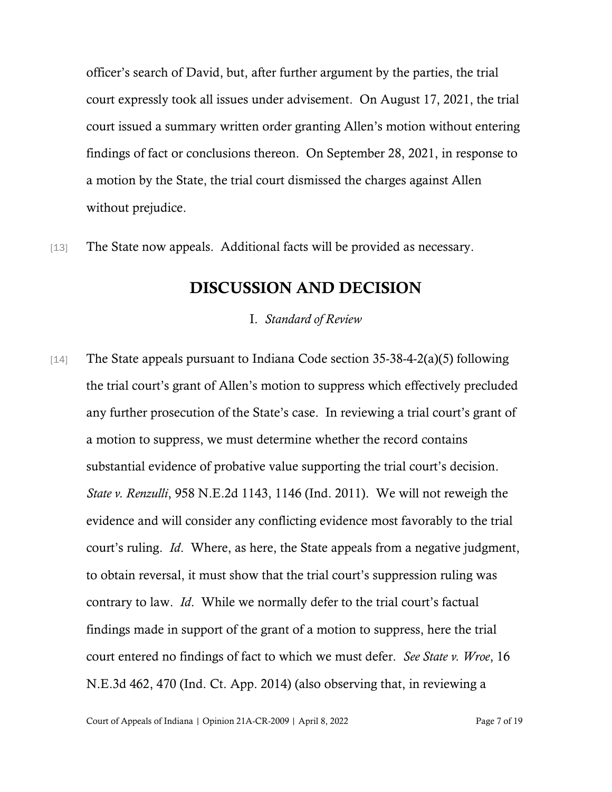officer's search of David, but, after further argument by the parties, the trial court expressly took all issues under advisement. On August 17, 2021, the trial court issued a summary written order granting Allen's motion without entering findings of fact or conclusions thereon. On September 28, 2021, in response to a motion by the State, the trial court dismissed the charges against Allen without prejudice.

[13] The State now appeals. Additional facts will be provided as necessary.

### DISCUSSION AND DECISION

I. *Standard of Review*

[14] The State appeals pursuant to Indiana Code section 35-38-4-2(a)(5) following the trial court's grant of Allen's motion to suppress which effectively precluded any further prosecution of the State's case. In reviewing a trial court's grant of a motion to suppress, we must determine whether the record contains substantial evidence of probative value supporting the trial court's decision. *State v. Renzulli*, 958 N.E.2d 1143, 1146 (Ind. 2011). We will not reweigh the evidence and will consider any conflicting evidence most favorably to the trial court's ruling. *Id*. Where, as here, the State appeals from a negative judgment, to obtain reversal, it must show that the trial court's suppression ruling was contrary to law. *Id*. While we normally defer to the trial court's factual findings made in support of the grant of a motion to suppress, here the trial court entered no findings of fact to which we must defer. *See State v. Wroe*, 16 N.E.3d 462, 470 (Ind. Ct. App. 2014) (also observing that, in reviewing a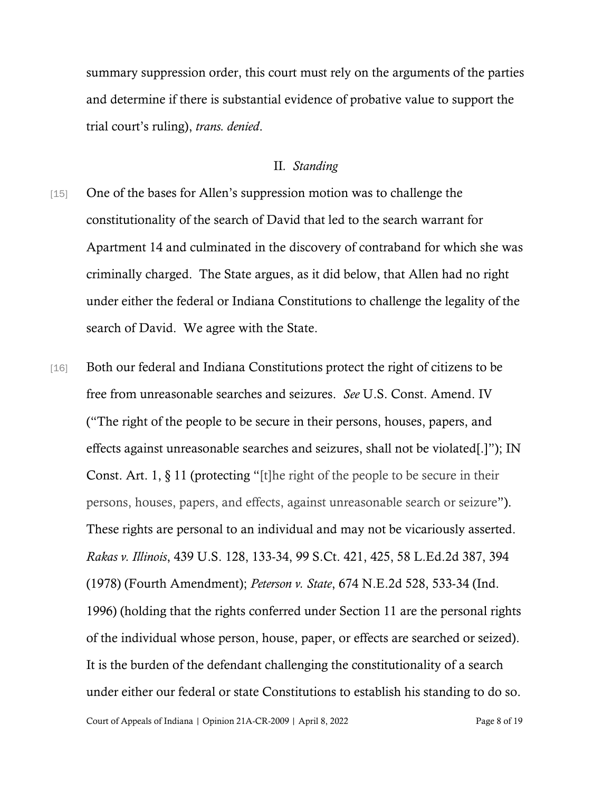summary suppression order, this court must rely on the arguments of the parties and determine if there is substantial evidence of probative value to support the trial court's ruling), *trans. denied*.

#### II*. Standing*

- [15] One of the bases for Allen's suppression motion was to challenge the constitutionality of the search of David that led to the search warrant for Apartment 14 and culminated in the discovery of contraband for which she was criminally charged. The State argues, as it did below, that Allen had no right under either the federal or Indiana Constitutions to challenge the legality of the search of David. We agree with the State.
- [16] Both our federal and Indiana Constitutions protect the right of citizens to be free from unreasonable searches and seizures. *See* U.S. Const. Amend. IV ("The right of the people to be secure in their persons, houses, papers, and effects against unreasonable searches and seizures, shall not be violated[.]"); IN Const. Art. 1,  $\S 11$  (protecting "[t]he right of the people to be secure in their persons, houses, papers, and effects, against unreasonable search or seizure"). These rights are personal to an individual and may not be vicariously asserted. *Rakas v. Illinois*, 439 U.S. 128, 133-34, 99 S.Ct. 421, 425, 58 L.Ed.2d 387, 394 (1978) (Fourth Amendment); *Peterson v. State*, 674 N.E.2d 528, 533-34 (Ind. 1996) (holding that the rights conferred under Section 11 are the personal rights of the individual whose person, house, paper, or effects are searched or seized). It is the burden of the defendant challenging the constitutionality of a search under either our federal or state Constitutions to establish his standing to do so.

Court of Appeals of Indiana | Opinion 21A-CR-2009 | April 8, 2022 Page 8 of 19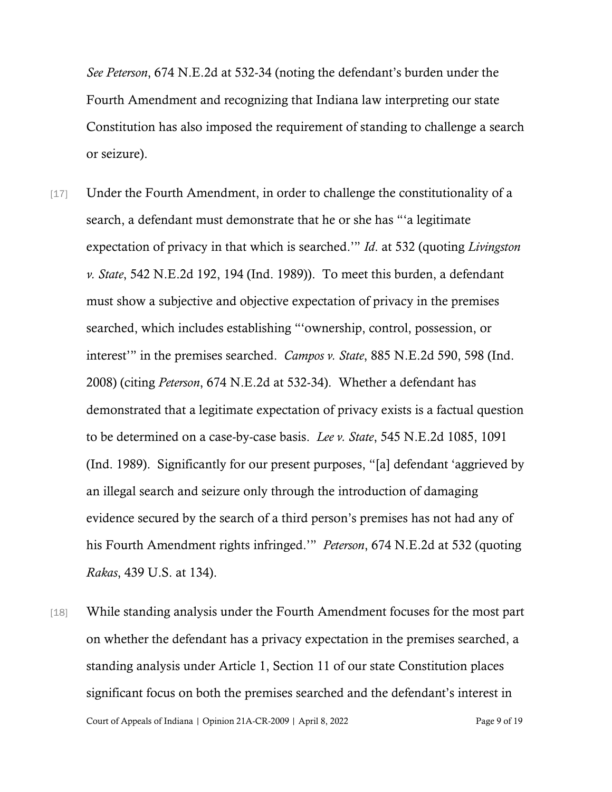*See Peterson*, 674 N.E.2d at 532-34 (noting the defendant's burden under the Fourth Amendment and recognizing that Indiana law interpreting our state Constitution has also imposed the requirement of standing to challenge a search or seizure).

- [17] Under the Fourth Amendment, in order to challenge the constitutionality of a search, a defendant must demonstrate that he or she has "'a legitimate expectation of privacy in that which is searched.'" *Id*. at 532 (quoting *Livingston v. State*, 542 N.E.2d 192, 194 (Ind. 1989)). To meet this burden, a defendant must show a subjective and objective expectation of privacy in the premises searched, which includes establishing "'ownership, control, possession, or interest'" in the premises searched. *Campos v. State*, 885 N.E.2d 590, 598 (Ind. 2008) (citing *Peterson*, 674 N.E.2d at 532-34). Whether a defendant has demonstrated that a legitimate expectation of privacy exists is a factual question to be determined on a case-by-case basis. *Lee v. State*, 545 N.E.2d 1085, 1091 (Ind. 1989). Significantly for our present purposes, "[a] defendant 'aggrieved by an illegal search and seizure only through the introduction of damaging evidence secured by the search of a third person's premises has not had any of his Fourth Amendment rights infringed.'" *Peterson*, 674 N.E.2d at 532 (quoting *Rakas*, 439 U.S. at 134).
- Court of Appeals of Indiana | Opinion 21A-CR-2009 | April 8, 2022 Page 9 of 19 [18] While standing analysis under the Fourth Amendment focuses for the most part on whether the defendant has a privacy expectation in the premises searched, a standing analysis under Article 1, Section 11 of our state Constitution places significant focus on both the premises searched and the defendant's interest in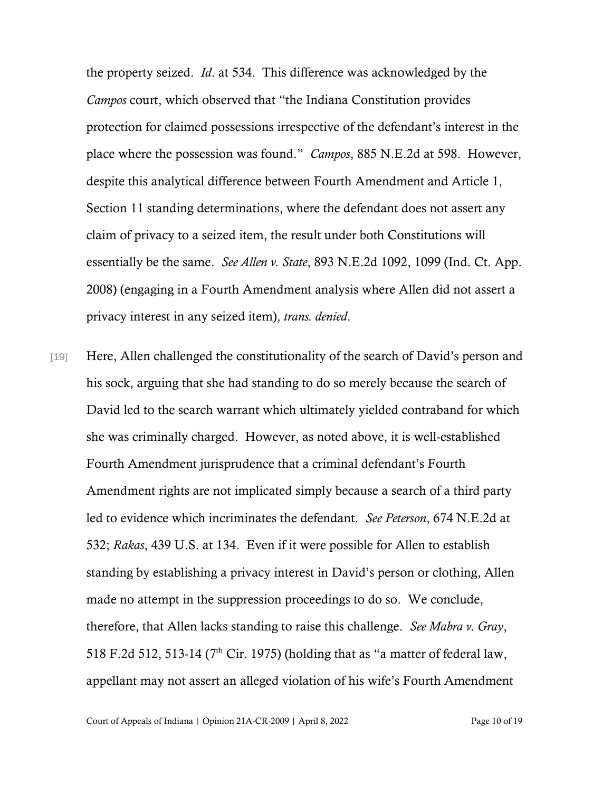the property seized. *Id*. at 534. This difference was acknowledged by the *Campos* court, which observed that "the Indiana Constitution provides protection for claimed possessions irrespective of the defendant's interest in the place where the possession was found." *Campos*, 885 N.E.2d at 598. However, despite this analytical difference between Fourth Amendment and Article 1, Section 11 standing determinations, where the defendant does not assert any claim of privacy to a seized item, the result under both Constitutions will essentially be the same. *See Allen v. State*, 893 N.E.2d 1092, 1099 (Ind. Ct. App. 2008) (engaging in a Fourth Amendment analysis where Allen did not assert a privacy interest in any seized item), *trans. denied*.

[19] Here, Allen challenged the constitutionality of the search of David's person and his sock, arguing that she had standing to do so merely because the search of David led to the search warrant which ultimately yielded contraband for which she was criminally charged. However, as noted above, it is well-established Fourth Amendment jurisprudence that a criminal defendant's Fourth Amendment rights are not implicated simply because a search of a third party led to evidence which incriminates the defendant. *See Peterson*, 674 N.E.2d at 532; *Rakas*, 439 U.S. at 134. Even if it were possible for Allen to establish standing by establishing a privacy interest in David's person or clothing, Allen made no attempt in the suppression proceedings to do so. We conclude, therefore, that Allen lacks standing to raise this challenge. *See Mabra v. Gray*, 518 F.2d 512, 513-14 (7th Cir. 1975) (holding that as "a matter of federal law, appellant may not assert an alleged violation of his wife's Fourth Amendment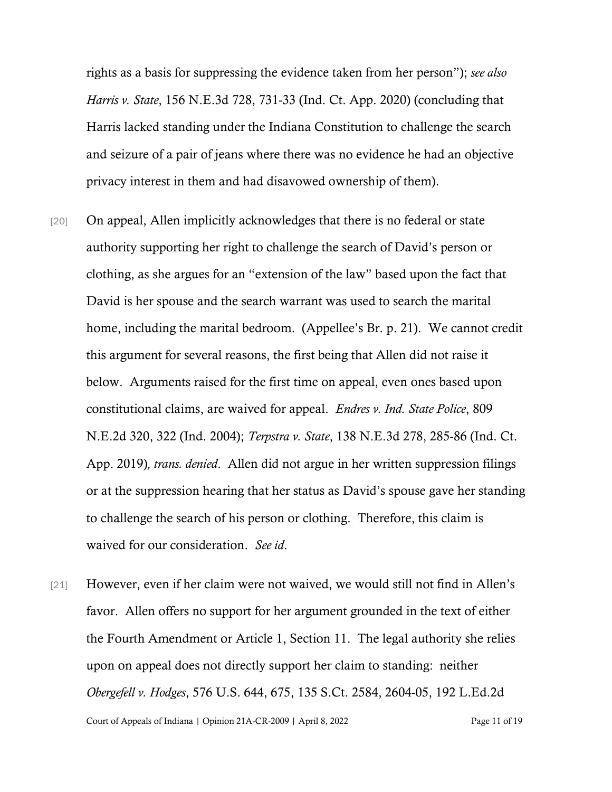rights as a basis for suppressing the evidence taken from her person"); *see also Harris v. State*, 156 N.E.3d 728, 731-33 (Ind. Ct. App. 2020) (concluding that Harris lacked standing under the Indiana Constitution to challenge the search and seizure of a pair of jeans where there was no evidence he had an objective privacy interest in them and had disavowed ownership of them).

- [20] On appeal, Allen implicitly acknowledges that there is no federal or state authority supporting her right to challenge the search of David's person or clothing, as she argues for an "extension of the law" based upon the fact that David is her spouse and the search warrant was used to search the marital home, including the marital bedroom. (Appellee's Br. p. 21). We cannot credit this argument for several reasons, the first being that Allen did not raise it below. Arguments raised for the first time on appeal, even ones based upon constitutional claims, are waived for appeal. *Endres v. Ind. State Police*, 809 N.E.2d 320, 322 (Ind. 2004); *Terpstra v. State*, 138 N.E.3d 278, 285-86 (Ind. Ct. App. 2019)*, trans. denied*. Allen did not argue in her written suppression filings or at the suppression hearing that her status as David's spouse gave her standing to challenge the search of his person or clothing. Therefore, this claim is waived for our consideration. *See id*.
- Court of Appeals of Indiana | Opinion 21A-CR-2009 | April 8, 2022 Page 11 of 19 [21] However, even if her claim were not waived, we would still not find in Allen's favor. Allen offers no support for her argument grounded in the text of either the Fourth Amendment or Article 1, Section 11. The legal authority she relies upon on appeal does not directly support her claim to standing: neither *Obergefell v. Hodges*, 576 U.S. 644, 675, 135 S.Ct. 2584, 2604-05, 192 L.Ed.2d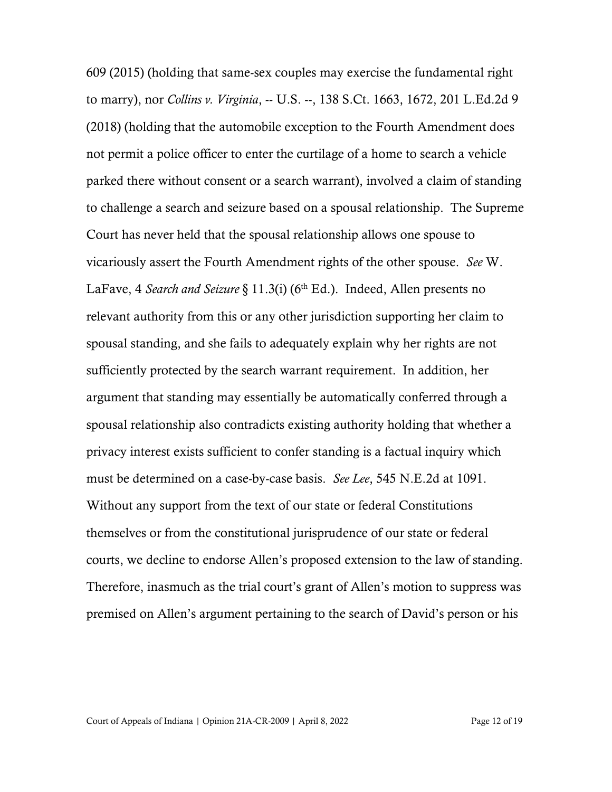609 (2015) (holding that same-sex couples may exercise the fundamental right to marry), nor *Collins v. Virginia*, -- U.S. --, 138 S.Ct. 1663, 1672, 201 L.Ed.2d 9 (2018) (holding that the automobile exception to the Fourth Amendment does not permit a police officer to enter the curtilage of a home to search a vehicle parked there without consent or a search warrant), involved a claim of standing to challenge a search and seizure based on a spousal relationship. The Supreme Court has never held that the spousal relationship allows one spouse to vicariously assert the Fourth Amendment rights of the other spouse. *See* W. LaFave, 4 *Search and Seizure* § 11.3(i) (6<sup>th</sup> Ed.). Indeed, Allen presents no relevant authority from this or any other jurisdiction supporting her claim to spousal standing, and she fails to adequately explain why her rights are not sufficiently protected by the search warrant requirement. In addition, her argument that standing may essentially be automatically conferred through a spousal relationship also contradicts existing authority holding that whether a privacy interest exists sufficient to confer standing is a factual inquiry which must be determined on a case-by-case basis. *See Lee*, 545 N.E.2d at 1091. Without any support from the text of our state or federal Constitutions themselves or from the constitutional jurisprudence of our state or federal courts, we decline to endorse Allen's proposed extension to the law of standing. Therefore, inasmuch as the trial court's grant of Allen's motion to suppress was premised on Allen's argument pertaining to the search of David's person or his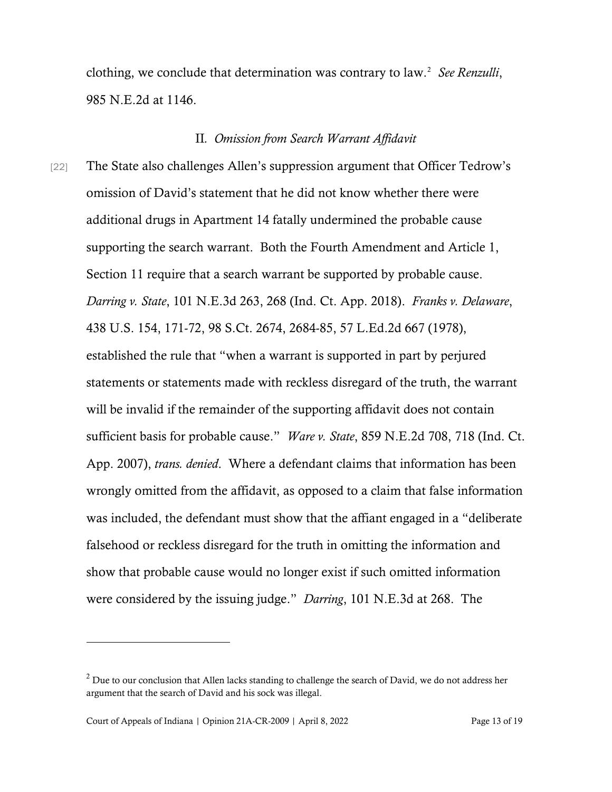clothing, we conclude that determination was contrary to law.<sup>[2](#page-12-0)</sup> See Renzulli, 985 N.E.2d at 1146.

#### II*. Omission from Search Warrant Affidavit*

[22] The State also challenges Allen's suppression argument that Officer Tedrow's omission of David's statement that he did not know whether there were additional drugs in Apartment 14 fatally undermined the probable cause supporting the search warrant. Both the Fourth Amendment and Article 1, Section 11 require that a search warrant be supported by probable cause. *Darring v. State*, 101 N.E.3d 263, 268 (Ind. Ct. App. 2018). *Franks v. Delaware*, 438 U.S. 154, 171-72, 98 S.Ct. 2674, 2684-85, 57 L.Ed.2d 667 (1978), established the rule that "when a warrant is supported in part by perjured statements or statements made with reckless disregard of the truth, the warrant will be invalid if the remainder of the supporting affidavit does not contain sufficient basis for probable cause." *Ware v. State*, 859 N.E.2d 708, 718 (Ind. Ct. App. 2007), *trans. denied*. Where a defendant claims that information has been wrongly omitted from the affidavit, as opposed to a claim that false information was included, the defendant must show that the affiant engaged in a "deliberate falsehood or reckless disregard for the truth in omitting the information and show that probable cause would no longer exist if such omitted information were considered by the issuing judge." *Darring*, 101 N.E.3d at 268. The

<span id="page-12-0"></span> $2$  Due to our conclusion that Allen lacks standing to challenge the search of David, we do not address her argument that the search of David and his sock was illegal.

Court of Appeals of Indiana | Opinion 21A-CR-2009 | April 8, 2022 Page 13 of 19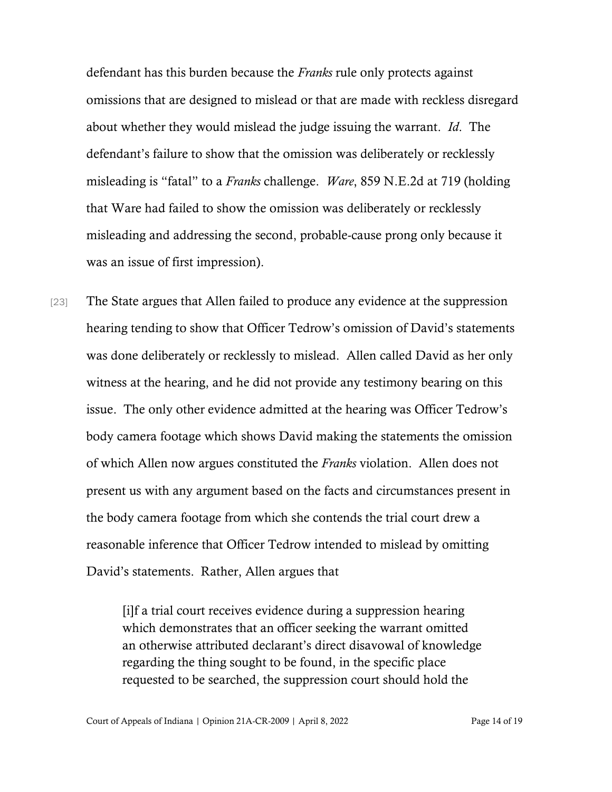defendant has this burden because the *Franks* rule only protects against omissions that are designed to mislead or that are made with reckless disregard about whether they would mislead the judge issuing the warrant. *Id*. The defendant's failure to show that the omission was deliberately or recklessly misleading is "fatal" to a *Franks* challenge. *Ware*, 859 N.E.2d at 719 (holding that Ware had failed to show the omission was deliberately or recklessly misleading and addressing the second, probable-cause prong only because it was an issue of first impression).

[23] The State argues that Allen failed to produce any evidence at the suppression hearing tending to show that Officer Tedrow's omission of David's statements was done deliberately or recklessly to mislead. Allen called David as her only witness at the hearing, and he did not provide any testimony bearing on this issue. The only other evidence admitted at the hearing was Officer Tedrow's body camera footage which shows David making the statements the omission of which Allen now argues constituted the *Franks* violation. Allen does not present us with any argument based on the facts and circumstances present in the body camera footage from which she contends the trial court drew a reasonable inference that Officer Tedrow intended to mislead by omitting David's statements. Rather, Allen argues that

> [i]f a trial court receives evidence during a suppression hearing which demonstrates that an officer seeking the warrant omitted an otherwise attributed declarant's direct disavowal of knowledge regarding the thing sought to be found, in the specific place requested to be searched, the suppression court should hold the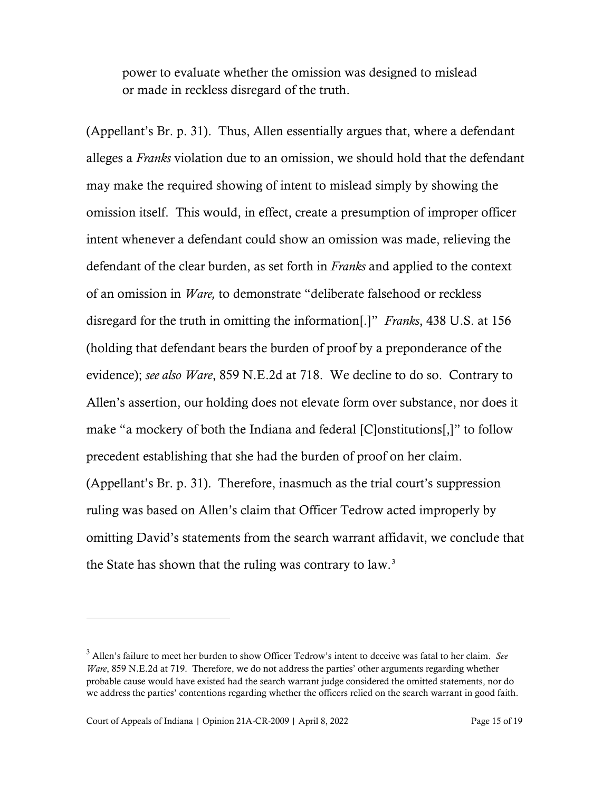power to evaluate whether the omission was designed to mislead or made in reckless disregard of the truth.

(Appellant's Br. p. 31). Thus, Allen essentially argues that, where a defendant alleges a *Franks* violation due to an omission, we should hold that the defendant may make the required showing of intent to mislead simply by showing the omission itself. This would, in effect, create a presumption of improper officer intent whenever a defendant could show an omission was made, relieving the defendant of the clear burden, as set forth in *Franks* and applied to the context of an omission in *Ware,* to demonstrate "deliberate falsehood or reckless disregard for the truth in omitting the information[.]" *Franks*, 438 U.S. at 156 (holding that defendant bears the burden of proof by a preponderance of the evidence); *see also Ware*, 859 N.E.2d at 718. We decline to do so. Contrary to Allen's assertion, our holding does not elevate form over substance, nor does it make "a mockery of both the Indiana and federal [C]onstitutions[,]" to follow precedent establishing that she had the burden of proof on her claim. (Appellant's Br. p. 31). Therefore, inasmuch as the trial court's suppression ruling was based on Allen's claim that Officer Tedrow acted improperly by omitting David's statements from the search warrant affidavit, we conclude that the State has shown that the ruling was contrary to law. $3$ 

<span id="page-14-0"></span><sup>3</sup> Allen's failure to meet her burden to show Officer Tedrow's intent to deceive was fatal to her claim. *See Ware*, 859 N.E.2d at 719. Therefore, we do not address the parties' other arguments regarding whether probable cause would have existed had the search warrant judge considered the omitted statements, nor do we address the parties' contentions regarding whether the officers relied on the search warrant in good faith.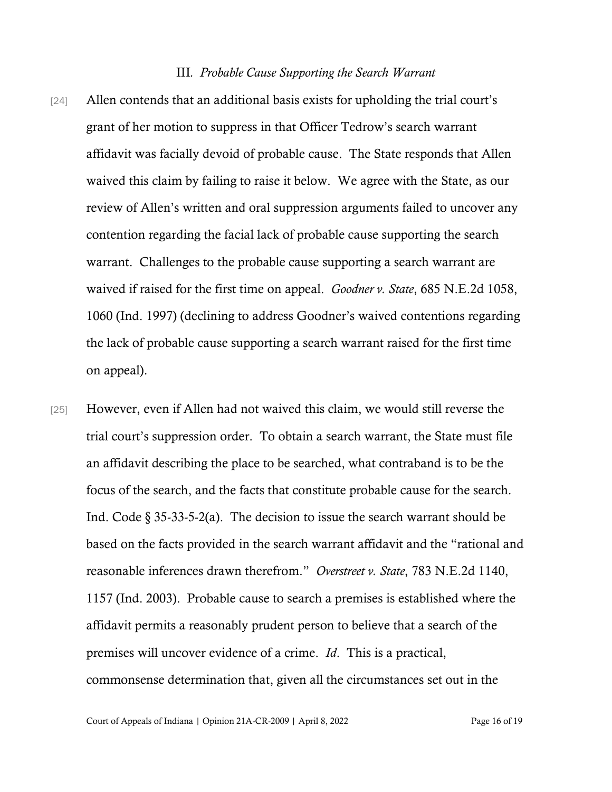#### III*. Probable Cause Supporting the Search Warrant*

- [24] Allen contends that an additional basis exists for upholding the trial court's grant of her motion to suppress in that Officer Tedrow's search warrant affidavit was facially devoid of probable cause. The State responds that Allen waived this claim by failing to raise it below. We agree with the State, as our review of Allen's written and oral suppression arguments failed to uncover any contention regarding the facial lack of probable cause supporting the search warrant. Challenges to the probable cause supporting a search warrant are waived if raised for the first time on appeal. *Goodner v. State*, 685 N.E.2d 1058, 1060 (Ind. 1997) (declining to address Goodner's waived contentions regarding the lack of probable cause supporting a search warrant raised for the first time on appeal).
- [25] However, even if Allen had not waived this claim, we would still reverse the trial court's suppression order. To obtain a search warrant, the State must file an affidavit describing the place to be searched, what contraband is to be the focus of the search, and the facts that constitute probable cause for the search. Ind. Code  $\S$  35-33-5-2(a). The decision to issue the search warrant should be based on the facts provided in the search warrant affidavit and the "rational and reasonable inferences drawn therefrom." *Overstreet v. State*, 783 N.E.2d 1140, 1157 (Ind. 2003). Probable cause to search a premises is established where the affidavit permits a reasonably prudent person to believe that a search of the premises will uncover evidence of a crime. *Id*. This is a practical, commonsense determination that, given all the circumstances set out in the

Court of Appeals of Indiana | Opinion 21A-CR-2009 | April 8, 2022 Page 16 of 19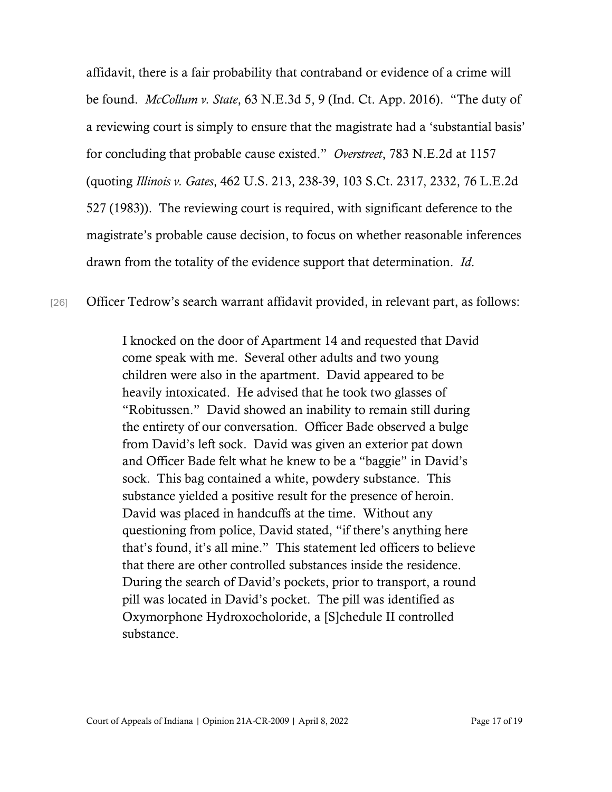affidavit, there is a fair probability that contraband or evidence of a crime will be found. *McCollum v. State*, 63 N.E.3d 5, 9 (Ind. Ct. App. 2016). "The duty of a reviewing court is simply to ensure that the magistrate had a 'substantial basis' for concluding that probable cause existed." *Overstreet*, 783 N.E.2d at 1157 (quoting *Illinois v. Gates*, 462 U.S. 213, 238-39, 103 S.Ct. 2317, 2332, 76 L.E.2d 527 (1983)). The reviewing court is required, with significant deference to the magistrate's probable cause decision, to focus on whether reasonable inferences drawn from the totality of the evidence support that determination. *Id*.

[26] Officer Tedrow's search warrant affidavit provided, in relevant part, as follows:

I knocked on the door of Apartment 14 and requested that David come speak with me. Several other adults and two young children were also in the apartment. David appeared to be heavily intoxicated. He advised that he took two glasses of "Robitussen." David showed an inability to remain still during the entirety of our conversation. Officer Bade observed a bulge from David's left sock. David was given an exterior pat down and Officer Bade felt what he knew to be a "baggie" in David's sock. This bag contained a white, powdery substance. This substance yielded a positive result for the presence of heroin. David was placed in handcuffs at the time. Without any questioning from police, David stated, "if there's anything here that's found, it's all mine." This statement led officers to believe that there are other controlled substances inside the residence. During the search of David's pockets, prior to transport, a round pill was located in David's pocket. The pill was identified as Oxymorphone Hydroxocholoride, a [S]chedule II controlled substance.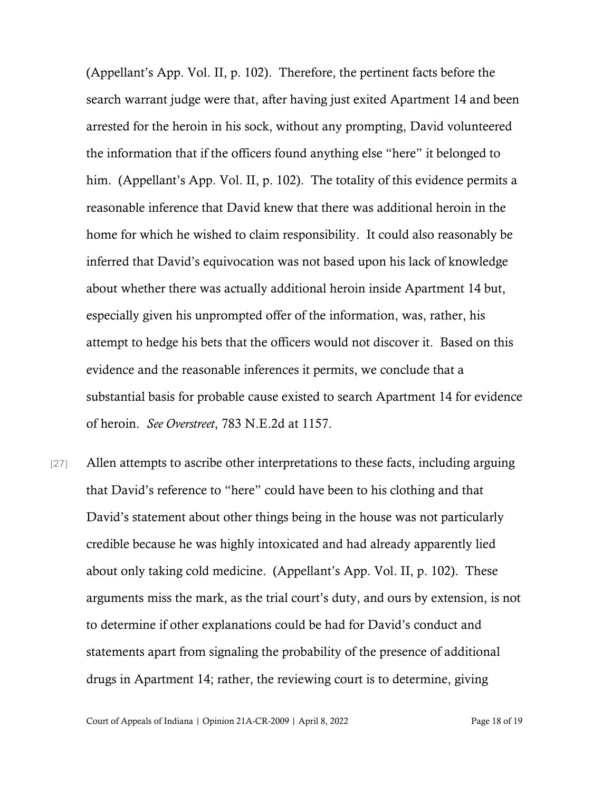(Appellant's App. Vol. II, p. 102). Therefore, the pertinent facts before the search warrant judge were that, after having just exited Apartment 14 and been arrested for the heroin in his sock, without any prompting, David volunteered the information that if the officers found anything else "here" it belonged to him. (Appellant's App. Vol. II, p. 102). The totality of this evidence permits a reasonable inference that David knew that there was additional heroin in the home for which he wished to claim responsibility. It could also reasonably be inferred that David's equivocation was not based upon his lack of knowledge about whether there was actually additional heroin inside Apartment 14 but, especially given his unprompted offer of the information, was, rather, his attempt to hedge his bets that the officers would not discover it. Based on this evidence and the reasonable inferences it permits, we conclude that a substantial basis for probable cause existed to search Apartment 14 for evidence of heroin. *See Overstreet*, 783 N.E.2d at 1157.

[27] Allen attempts to ascribe other interpretations to these facts, including arguing that David's reference to "here" could have been to his clothing and that David's statement about other things being in the house was not particularly credible because he was highly intoxicated and had already apparently lied about only taking cold medicine. (Appellant's App. Vol. II, p. 102). These arguments miss the mark, as the trial court's duty, and ours by extension, is not to determine if other explanations could be had for David's conduct and statements apart from signaling the probability of the presence of additional drugs in Apartment 14; rather, the reviewing court is to determine, giving